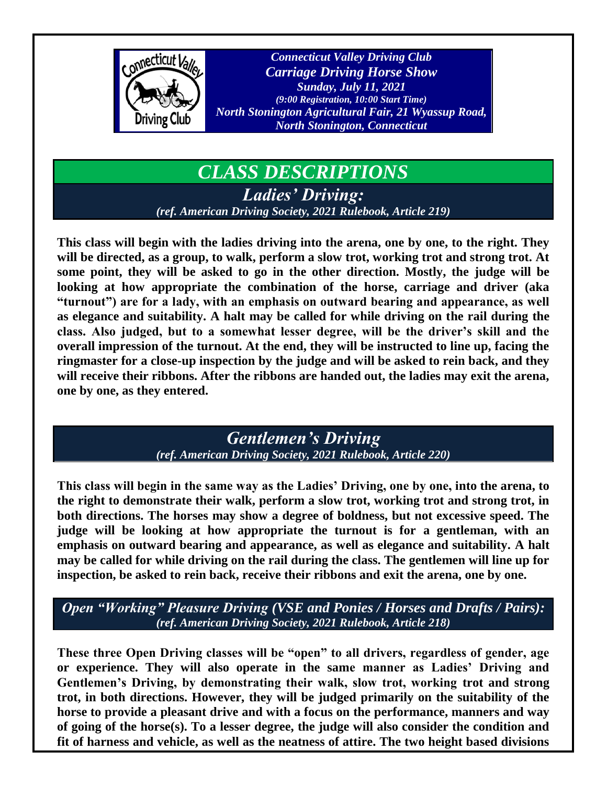

*Connecticut Valley Driving Club Carriage Driving Horse Show Sunday, July 11, 2021 (9:00 Registration, 10:00 Start Time) North Stonington Agricultural Fair, 21 Wyassup Road, North Stonington, Connecticut*

# *CLASS DESCRIPTIONS*

*Ladies' Driving: (ref. American Driving Society, 2021 Rulebook, Article 219)*

**This class will begin with the ladies driving into the arena, one by one, to the right. They will be directed, as a group, to walk, perform a slow trot, working trot and strong trot. At some point, they will be asked to go in the other direction. Mostly, the judge will be looking at how appropriate the combination of the horse, carriage and driver (aka "turnout") are for a lady, with an emphasis on outward bearing and appearance, as well as elegance and suitability. A halt may be called for while driving on the rail during the class. Also judged, but to a somewhat lesser degree, will be the driver's skill and the overall impression of the turnout. At the end, they will be instructed to line up, facing the ringmaster for a close-up inspection by the judge and will be asked to rein back, and they will receive their ribbons. After the ribbons are handed out, the ladies may exit the arena, one by one, as they entered.**

> *Gentlemen's Driving (ref. American Driving Society, 2021 Rulebook, Article 220)*

**This class will begin in the same way as the Ladies' Driving, one by one, into the arena, to the right to demonstrate their walk, perform a slow trot, working trot and strong trot, in both directions. The horses may show a degree of boldness, but not excessive speed. The judge will be looking at how appropriate the turnout is for a gentleman, with an emphasis on outward bearing and appearance, as well as elegance and suitability. A halt may be called for while driving on the rail during the class. The gentlemen will line up for inspection, be asked to rein back, receive their ribbons and exit the arena, one by one.**

#### *Open "Working" Pleasure Driving (VSE and Ponies / Horses and Drafts / Pairs): (ref. American Driving Society, 2021 Rulebook, Article 218)*

**These three Open Driving classes will be "open" to all drivers, regardless of gender, age or experience. They will also operate in the same manner as Ladies' Driving and Gentlemen's Driving, by demonstrating their walk, slow trot, working trot and strong trot, in both directions. However, they will be judged primarily on the suitability of the horse to provide a pleasant drive and with a focus on the performance, manners and way of going of the horse(s). To a lesser degree, the judge will also consider the condition and fit of harness and vehicle, as well as the neatness of attire. The two height based divisions**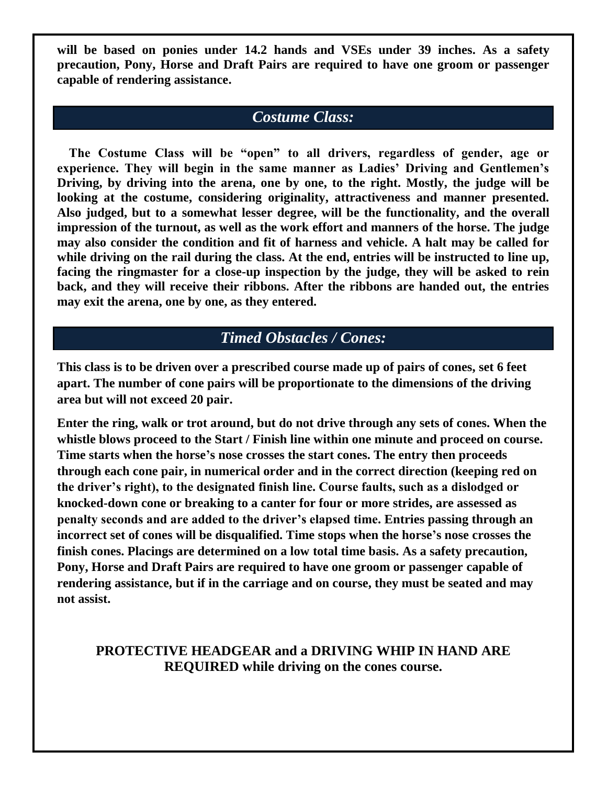**will be based on ponies under 14.2 hands and VSEs under 39 inches. As a safety precaution, Pony, Horse and Draft Pairs are required to have one groom or passenger capable of rendering assistance.**

### *Costume Class:*

 **The Costume Class will be "open" to all drivers, regardless of gender, age or experience. They will begin in the same manner as Ladies' Driving and Gentlemen's Driving, by driving into the arena, one by one, to the right. Mostly, the judge will be looking at the costume, considering originality, attractiveness and manner presented. Also judged, but to a somewhat lesser degree, will be the functionality, and the overall impression of the turnout, as well as the work effort and manners of the horse. The judge may also consider the condition and fit of harness and vehicle. A halt may be called for while driving on the rail during the class. At the end, entries will be instructed to line up, facing the ringmaster for a close-up inspection by the judge, they will be asked to rein back, and they will receive their ribbons. After the ribbons are handed out, the entries may exit the arena, one by one, as they entered.**

## *Timed Obstacles / Cones:*

**This class is to be driven over a prescribed course made up of pairs of cones, set 6 feet apart. The number of cone pairs will be proportionate to the dimensions of the driving area but will not exceed 20 pair.** 

**Enter the ring, walk or trot around, but do not drive through any sets of cones. When the whistle blows proceed to the Start / Finish line within one minute and proceed on course. Time starts when the horse's nose crosses the start cones. The entry then proceeds through each cone pair, in numerical order and in the correct direction (keeping red on the driver's right), to the designated finish line. Course faults, such as a dislodged or knocked-down cone or breaking to a canter for four or more strides, are assessed as penalty seconds and are added to the driver's elapsed time. Entries passing through an incorrect set of cones will be disqualified. Time stops when the horse's nose crosses the finish cones. Placings are determined on a low total time basis. As a safety precaution, Pony, Horse and Draft Pairs are required to have one groom or passenger capable of rendering assistance, but if in the carriage and on course, they must be seated and may not assist.**

#### **PROTECTIVE HEADGEAR and a DRIVING WHIP IN HAND ARE REQUIRED while driving on the cones course.**